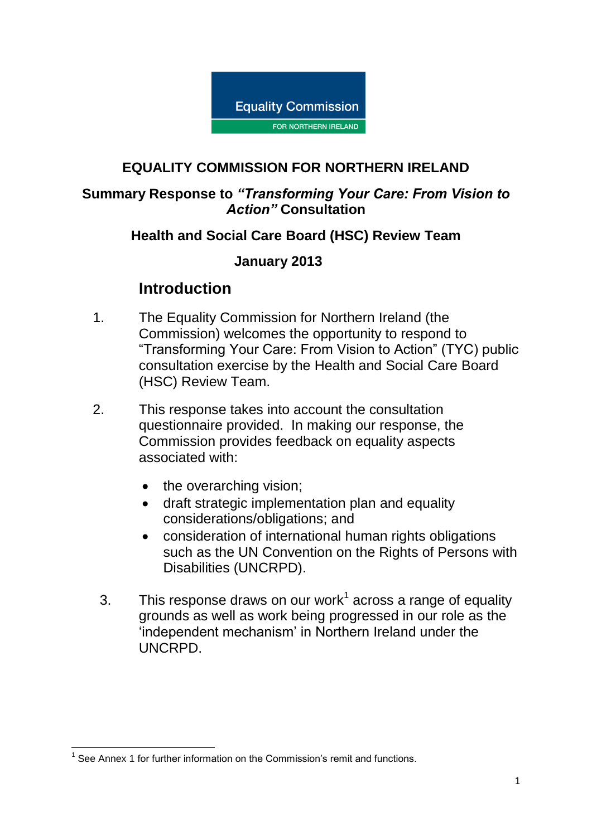

#### **EQUALITY COMMISSION FOR NORTHERN IRELAND**

#### **Summary Response to** *"Transforming Your Care: From Vision to Action"* **Consultation**

#### **Health and Social Care Board (HSC) Review Team**

#### **January 2013**

### **Introduction**

- 1. The Equality Commission for Northern Ireland (the Commission) welcomes the opportunity to respond to "Transforming Your Care: From Vision to Action" (TYC) public consultation exercise by the Health and Social Care Board (HSC) Review Team.
- 2. This response takes into account the consultation questionnaire provided. In making our response, the Commission provides feedback on equality aspects associated with:
	- the overarching vision;
	- draft strategic implementation plan and equality considerations/obligations; and
	- consideration of international human rights obligations such as the UN Convention on the Rights of Persons with Disabilities (UNCRPD).
	- 3. This response draws on our work<sup>1</sup> across a range of equality grounds as well as work being progressed in our role as the 'independent mechanism' in Northern Ireland under the UNCRPD.

 1 See Annex 1 for further information on the Commission's remit and functions.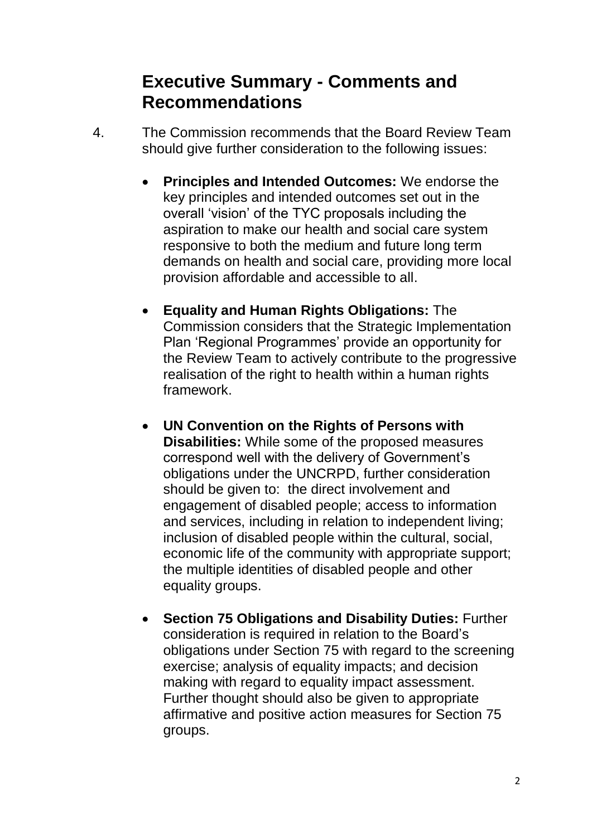# **Executive Summary - Comments and Recommendations**

- 4. The Commission recommends that the Board Review Team should give further consideration to the following issues:
	- **Principles and Intended Outcomes:** We endorse the key principles and intended outcomes set out in the overall 'vision' of the TYC proposals including the aspiration to make our health and social care system responsive to both the medium and future long term demands on health and social care, providing more local provision affordable and accessible to all.
	- **Equality and Human Rights Obligations:** The Commission considers that the Strategic Implementation Plan 'Regional Programmes' provide an opportunity for the Review Team to actively contribute to the progressive realisation of the right to health within a human rights framework.
	- **UN Convention on the Rights of Persons with Disabilities:** While some of the proposed measures correspond well with the delivery of Government's obligations under the UNCRPD, further consideration should be given to: the direct involvement and engagement of disabled people; access to information and services, including in relation to independent living; inclusion of disabled people within the cultural, social, economic life of the community with appropriate support; the multiple identities of disabled people and other equality groups.
	- **Section 75 Obligations and Disability Duties:** Further consideration is required in relation to the Board's obligations under Section 75 with regard to the screening exercise; analysis of equality impacts; and decision making with regard to equality impact assessment. Further thought should also be given to appropriate affirmative and positive action measures for Section 75 groups.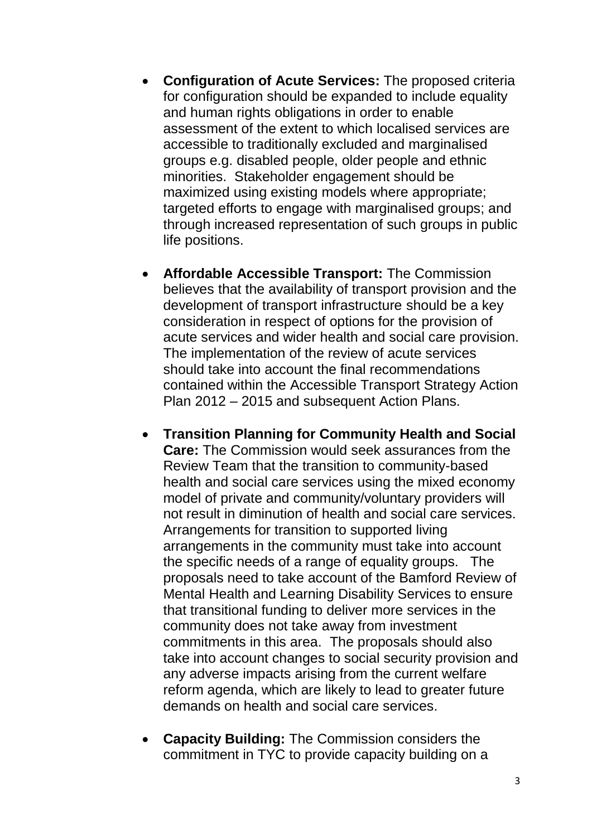- **Configuration of Acute Services:** The proposed criteria for configuration should be expanded to include equality and human rights obligations in order to enable assessment of the extent to which localised services are accessible to traditionally excluded and marginalised groups e.g. disabled people, older people and ethnic minorities. Stakeholder engagement should be maximized using existing models where appropriate; targeted efforts to engage with marginalised groups; and through increased representation of such groups in public life positions.
- **Affordable Accessible Transport:** The Commission believes that the availability of transport provision and the development of transport infrastructure should be a key consideration in respect of options for the provision of acute services and wider health and social care provision. The implementation of the review of acute services should take into account the final recommendations contained within the Accessible Transport Strategy Action Plan 2012 – 2015 and subsequent Action Plans.
- **Transition Planning for Community Health and Social Care:** The Commission would seek assurances from the Review Team that the transition to community-based health and social care services using the mixed economy model of private and community/voluntary providers will not result in diminution of health and social care services. Arrangements for transition to supported living arrangements in the community must take into account the specific needs of a range of equality groups. The proposals need to take account of the Bamford Review of Mental Health and Learning Disability Services to ensure that transitional funding to deliver more services in the community does not take away from investment commitments in this area. The proposals should also take into account changes to social security provision and any adverse impacts arising from the current welfare reform agenda, which are likely to lead to greater future demands on health and social care services.
- **Capacity Building:** The Commission considers the commitment in TYC to provide capacity building on a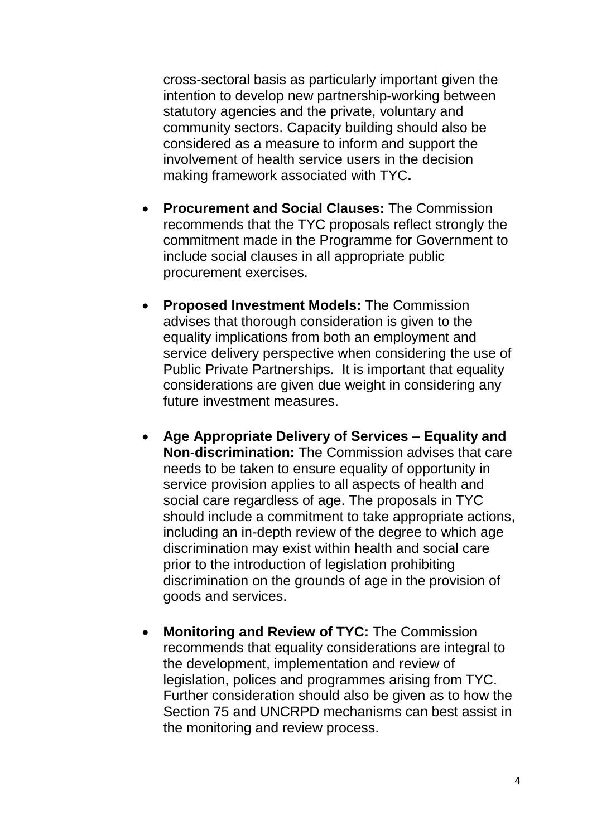cross-sectoral basis as particularly important given the intention to develop new partnership-working between statutory agencies and the private, voluntary and community sectors. Capacity building should also be considered as a measure to inform and support the involvement of health service users in the decision making framework associated with TYC**.**

- **Procurement and Social Clauses:** The Commission recommends that the TYC proposals reflect strongly the commitment made in the Programme for Government to include social clauses in all appropriate public procurement exercises.
- **Proposed Investment Models:** The Commission advises that thorough consideration is given to the equality implications from both an employment and service delivery perspective when considering the use of Public Private Partnerships. It is important that equality considerations are given due weight in considering any future investment measures.
- **Age Appropriate Delivery of Services – Equality and Non-discrimination:** The Commission advises that care needs to be taken to ensure equality of opportunity in service provision applies to all aspects of health and social care regardless of age. The proposals in TYC should include a commitment to take appropriate actions, including an in-depth review of the degree to which age discrimination may exist within health and social care prior to the introduction of legislation prohibiting discrimination on the grounds of age in the provision of goods and services.
- **Monitoring and Review of TYC:** The Commission recommends that equality considerations are integral to the development, implementation and review of legislation, polices and programmes arising from TYC. Further consideration should also be given as to how the Section 75 and UNCRPD mechanisms can best assist in the monitoring and review process.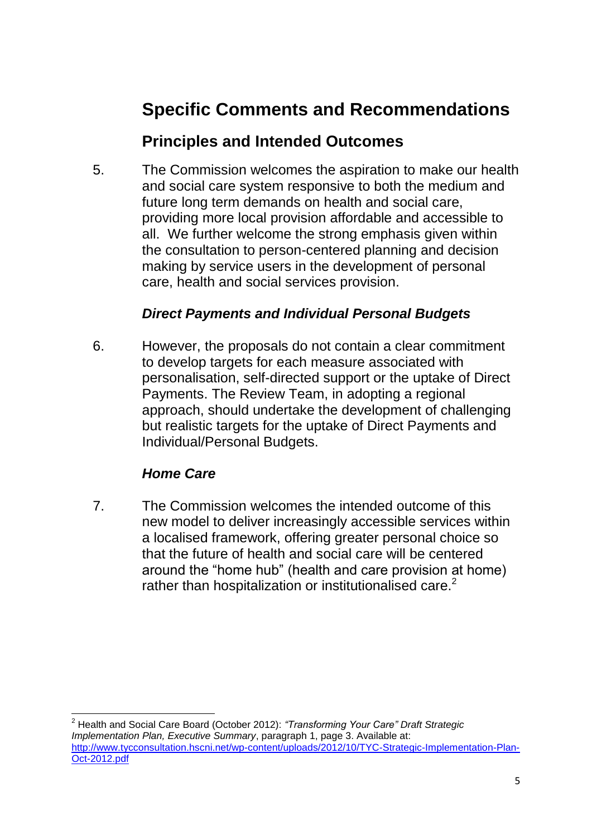# **Specific Comments and Recommendations**

## **Principles and Intended Outcomes**

5. The Commission welcomes the aspiration to make our health and social care system responsive to both the medium and future long term demands on health and social care, providing more local provision affordable and accessible to all. We further welcome the strong emphasis given within the consultation to person-centered planning and decision making by service users in the development of personal care, health and social services provision.

#### *Direct Payments and Individual Personal Budgets*

6. However, the proposals do not contain a clear commitment to develop targets for each measure associated with personalisation, self-directed support or the uptake of Direct Payments. The Review Team, in adopting a regional approach, should undertake the development of challenging but realistic targets for the uptake of Direct Payments and Individual/Personal Budgets.

### *Home Care*

 $\overline{\phantom{a}}$ 

7. The Commission welcomes the intended outcome of this new model to deliver increasingly accessible services within a localised framework, offering greater personal choice so that the future of health and social care will be centered around the "home hub" (health and care provision at home) rather than hospitalization or institutionalised care.<sup>2</sup>

<sup>2</sup> Health and Social Care Board (October 2012): *"Transforming Your Care" Draft Strategic Implementation Plan, Executive Summary*, paragraph 1, page 3. Available at: [http://www.tycconsultation.hscni.net/wp-content/uploads/2012/10/TYC-Strategic-Implementation-Plan-](http://www.tycconsultation.hscni.net/wp-content/uploads/2012/10/TYC-Strategic-Implementation-Plan-Oct-2012.pdf)[Oct-2012.pdf](http://www.tycconsultation.hscni.net/wp-content/uploads/2012/10/TYC-Strategic-Implementation-Plan-Oct-2012.pdf)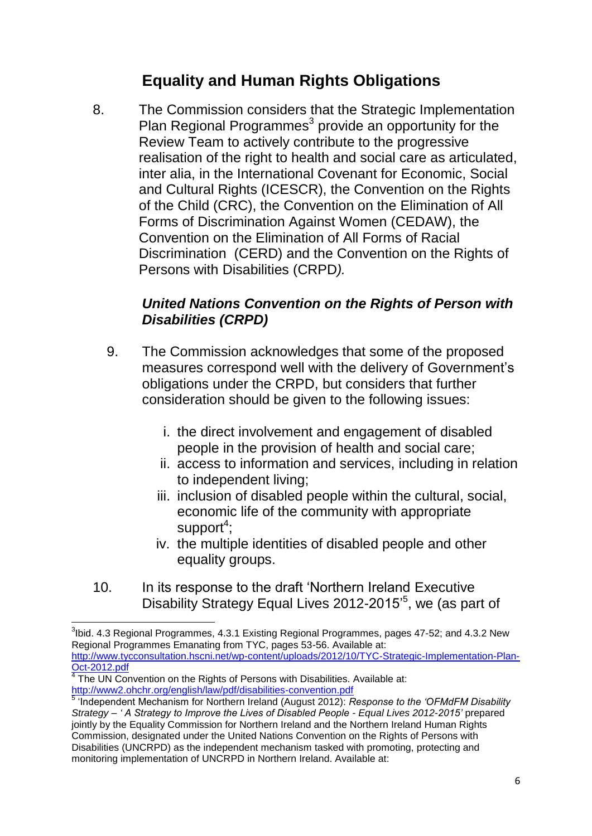# **Equality and Human Rights Obligations**

8. The Commission considers that the Strategic Implementation Plan Regional Programmes<sup>3</sup> provide an opportunity for the Review Team to actively contribute to the progressive realisation of the right to health and social care as articulated, inter alia, in the International Covenant for Economic, Social and Cultural Rights (ICESCR), the Convention on the Rights of the Child (CRC), the Convention on the Elimination of All Forms of Discrimination Against Women (CEDAW), the Convention on the Elimination of All Forms of Racial Discrimination (CERD) and the Convention on the Rights of Persons with Disabilities (CRPD*).*

#### *United Nations Convention on the Rights of Person with Disabilities (CRPD)*

- 9. The Commission acknowledges that some of the proposed measures correspond well with the delivery of Government's obligations under the CRPD, but considers that further consideration should be given to the following issues:
	- i. the direct involvement and engagement of disabled people in the provision of health and social care;
	- ii. access to information and services, including in relation to independent living;
	- iii. inclusion of disabled people within the cultural, social, economic life of the community with appropriate support<sup>4</sup>;
	- iv. the multiple identities of disabled people and other equality groups.
- 10. In its response to the draft 'Northern Ireland Executive Disability Strategy Equal Lives 2012-2015<sup>5</sup>, we (as part of

 $\overline{\phantom{a}}$  $3$ lbid. 4.3 Regional Programmes, 4.3.1 Existing Regional Programmes, pages 47-52; and 4.3.2 New Regional Programmes Emanating from TYC, pages 53-56. Available at: [http://www.tycconsultation.hscni.net/wp-content/uploads/2012/10/TYC-Strategic-Implementation-Plan-](http://www.tycconsultation.hscni.net/wp-content/uploads/2012/10/TYC-Strategic-Implementation-Plan-Oct-2012.pdf)[Oct-2012.pdf](http://www.tycconsultation.hscni.net/wp-content/uploads/2012/10/TYC-Strategic-Implementation-Plan-Oct-2012.pdf) 

 $4$  The UN Convention on the Rights of Persons with Disabilities. Available at: <http://www2.ohchr.org/english/law/pdf/disabilities-convention.pdf>

<sup>5</sup> 'Independent Mechanism for Northern Ireland (August 2012): *Response to the 'OFMdFM Disability Strategy – ' A Strategy to Improve the Lives of Disabled People - Equal Lives 2012-2015'* prepared jointly by the Equality Commission for Northern Ireland and the Northern Ireland Human Rights Commission, designated under the United Nations Convention on the Rights of Persons with Disabilities (UNCRPD) as the independent mechanism tasked with promoting, protecting and monitoring implementation of UNCRPD in Northern Ireland. Available at: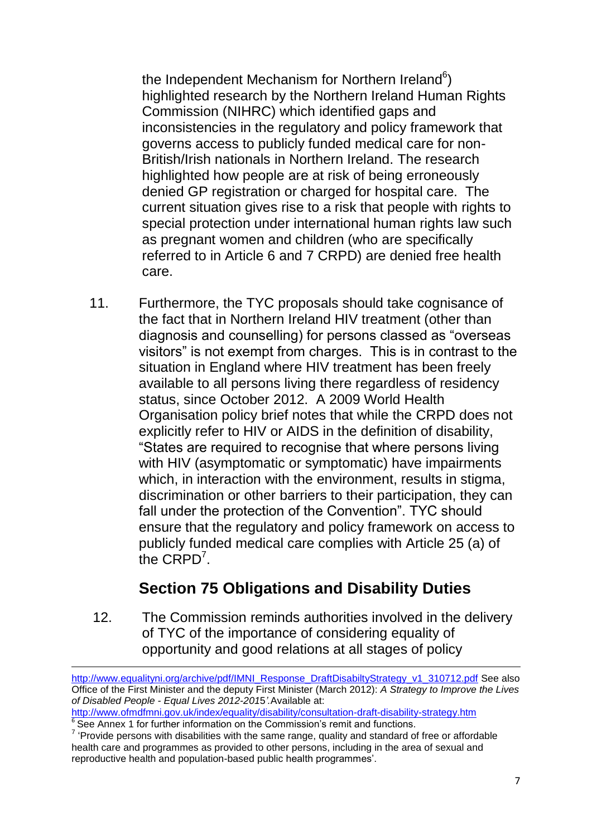the Independent Mechanism for Northern Ireland $6$ ) highlighted research by the Northern Ireland Human Rights Commission (NIHRC) which identified gaps and inconsistencies in the regulatory and policy framework that governs access to publicly funded medical care for non-British/Irish nationals in Northern Ireland. The research highlighted how people are at risk of being erroneously denied GP registration or charged for hospital care. The current situation gives rise to a risk that people with rights to special protection under international human rights law such as pregnant women and children (who are specifically referred to in Article 6 and 7 CRPD) are denied free health care.

11. Furthermore, the TYC proposals should take cognisance of the fact that in Northern Ireland HIV treatment (other than diagnosis and counselling) for persons classed as "overseas visitors" is not exempt from charges. This is in contrast to the situation in England where HIV treatment has been freely available to all persons living there regardless of residency status, since October 2012. A 2009 World Health Organisation policy brief notes that while the CRPD does not explicitly refer to HIV or AIDS in the definition of disability, "States are required to recognise that where persons living with HIV (asymptomatic or symptomatic) have impairments which, in interaction with the environment, results in stigma, discrimination or other barriers to their participation, they can fall under the protection of the Convention". TYC should ensure that the regulatory and policy framework on access to publicly funded medical care complies with Article 25 (a) of the  $CRPD<sup>7</sup>$ .

# **Section 75 Obligations and Disability Duties**

12. The Commission reminds authorities involved in the delivery of TYC of the importance of considering equality of opportunity and good relations at all stages of policy

**.** 

[http://www.equalityni.org/archive/pdf/IMNI\\_Response\\_DraftDisabiltyStrategy\\_v1\\_310712.pdf](http://www.equalityni.org/archive/pdf/IMNI_Response_DraftDisabiltyStrategy_v1_310712.pdf) See also Office of the First Minister and the deputy First Minister (March 2012): *A Strategy to Improve the Lives of Disabled People - Equal Lives 2012-201*5*'.*Available at:

<http://www.ofmdfmni.gov.uk/index/equality/disability/consultation-draft-disability-strategy.htm> <sup>6</sup> See Annex 1 for further information on the Commission's remit and functions.

 $7$  'Provide persons with disabilities with the same range, quality and standard of free or affordable health care and programmes as provided to other persons, including in the area of sexual and reproductive health and population-based public health programmes'.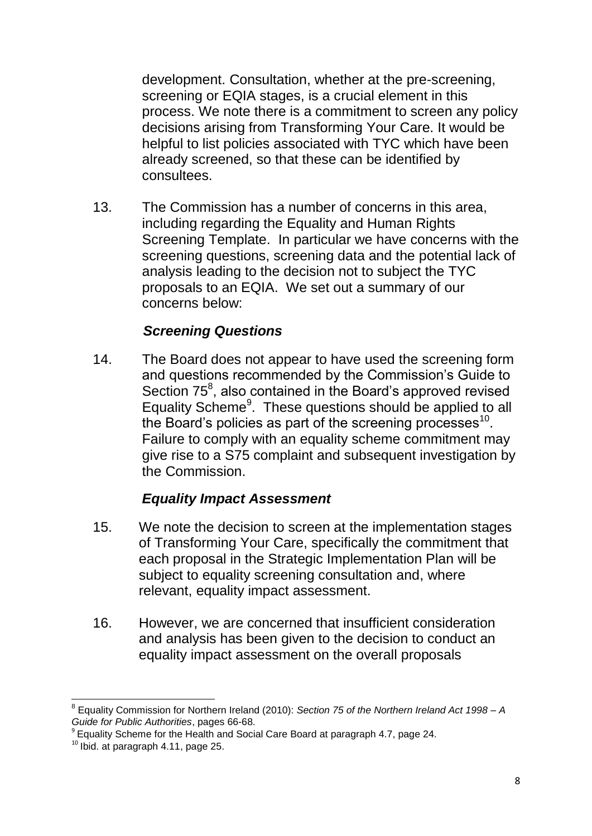development. Consultation, whether at the pre-screening, screening or EQIA stages, is a crucial element in this process. We note there is a commitment to screen any policy decisions arising from Transforming Your Care. It would be helpful to list policies associated with TYC which have been already screened, so that these can be identified by consultees.

13. The Commission has a number of concerns in this area, including regarding the Equality and Human Rights Screening Template. In particular we have concerns with the screening questions, screening data and the potential lack of analysis leading to the decision not to subject the TYC proposals to an EQIA. We set out a summary of our concerns below:

#### *Screening Questions*

14. The Board does not appear to have used the screening form and questions recommended by the Commission's Guide to Section 75<sup>8</sup>, also contained in the Board's approved revised Equality Scheme<sup>9</sup>. These questions should be applied to all the Board's policies as part of the screening processes $^{10}$ . Failure to comply with an equality scheme commitment may give rise to a S75 complaint and subsequent investigation by the Commission.

#### *Equality Impact Assessment*

- 15. We note the decision to screen at the implementation stages of Transforming Your Care, specifically the commitment that each proposal in the Strategic Implementation Plan will be subject to equality screening consultation and, where relevant, equality impact assessment.
- 16. However, we are concerned that insufficient consideration and analysis has been given to the decision to conduct an equality impact assessment on the overall proposals

 $\overline{\phantom{a}}$ 8 Equality Commission for Northern Ireland (2010): *Section 75 of the Northern Ireland Act 1998 – A* 

*Guide for Public Authorities*, pages 66-68. 9 Equality Scheme for the Health and Social Care Board at paragraph 4.7, page 24.

 $10$  Ibid. at paragraph 4.11, page 25.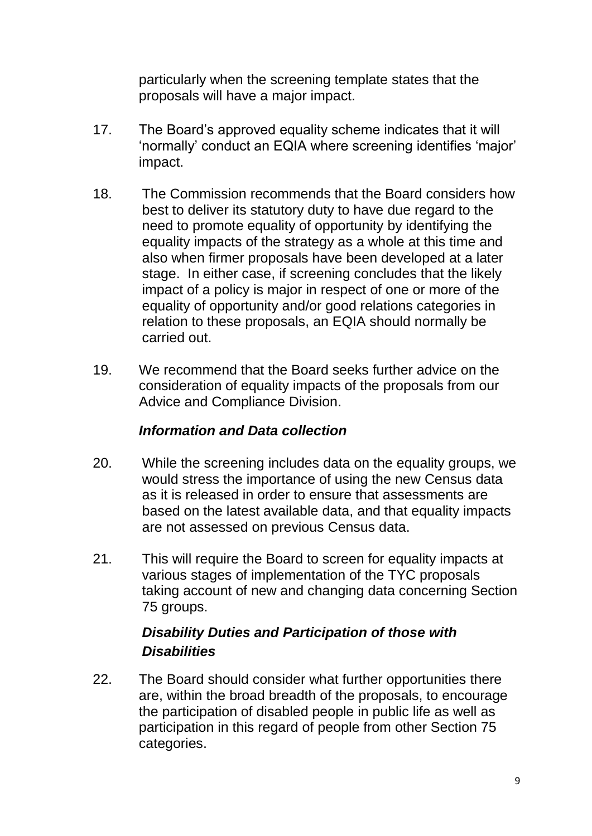particularly when the screening template states that the proposals will have a major impact.

- 17. The Board's approved equality scheme indicates that it will 'normally' conduct an EQIA where screening identifies 'major' impact.
- 18. The Commission recommends that the Board considers how best to deliver its statutory duty to have due regard to the need to promote equality of opportunity by identifying the equality impacts of the strategy as a whole at this time and also when firmer proposals have been developed at a later stage. In either case, if screening concludes that the likely impact of a policy is major in respect of one or more of the equality of opportunity and/or good relations categories in relation to these proposals, an EQIA should normally be carried out.
- 19. We recommend that the Board seeks further advice on the consideration of equality impacts of the proposals from our Advice and Compliance Division.

#### *Information and Data collection*

- 20. While the screening includes data on the equality groups, we would stress the importance of using the new Census data as it is released in order to ensure that assessments are based on the latest available data, and that equality impacts are not assessed on previous Census data.
- 21. This will require the Board to screen for equality impacts at various stages of implementation of the TYC proposals taking account of new and changing data concerning Section 75 groups.

### *Disability Duties and Participation of those with Disabilities*

22. The Board should consider what further opportunities there are, within the broad breadth of the proposals, to encourage the participation of disabled people in public life as well as participation in this regard of people from other Section 75 categories.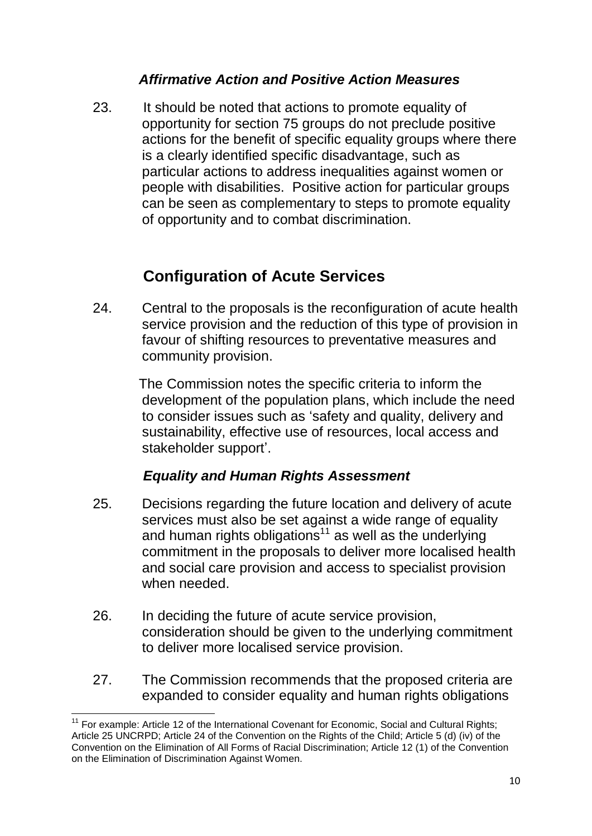#### *Affirmative Action and Positive Action Measures*

23. It should be noted that actions to promote equality of opportunity for section 75 groups do not preclude positive actions for the benefit of specific equality groups where there is a clearly identified specific disadvantage, such as particular actions to address inequalities against women or people with disabilities. Positive action for particular groups can be seen as complementary to steps to promote equality of opportunity and to combat discrimination.

# **Configuration of Acute Services**

24. Central to the proposals is the reconfiguration of acute health service provision and the reduction of this type of provision in favour of shifting resources to preventative measures and community provision.

> The Commission notes the specific criteria to inform the development of the population plans, which include the need to consider issues such as 'safety and quality, delivery and sustainability, effective use of resources, local access and stakeholder support'.

#### *Equality and Human Rights Assessment*

- 25. Decisions regarding the future location and delivery of acute services must also be set against a wide range of equality and human rights obligations<sup>11</sup> as well as the underlying commitment in the proposals to deliver more localised health and social care provision and access to specialist provision when needed.
- 26. In deciding the future of acute service provision, consideration should be given to the underlying commitment to deliver more localised service provision.
- 27. The Commission recommends that the proposed criteria are expanded to consider equality and human rights obligations

**<sup>.</sup>** <sup>11</sup> For example: Article 12 of the International Covenant for Economic, Social and Cultural Rights; Article 25 UNCRPD; Article 24 of the Convention on the Rights of the Child; Article 5 (d) (iv) of the Convention on the Elimination of All Forms of Racial Discrimination; Article 12 (1) of the Convention on the Elimination of Discrimination Against Women.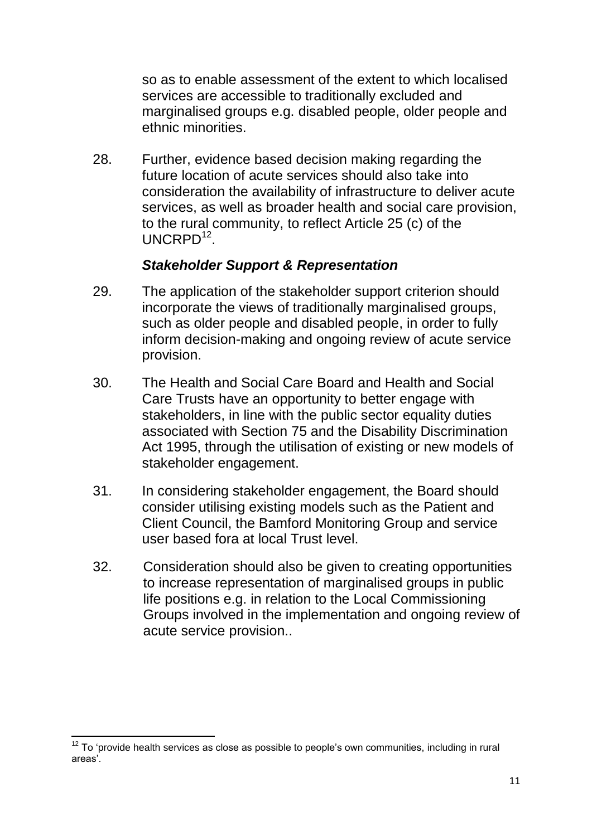so as to enable assessment of the extent to which localised services are accessible to traditionally excluded and marginalised groups e.g. disabled people, older people and ethnic minorities.

28. Further, evidence based decision making regarding the future location of acute services should also take into consideration the availability of infrastructure to deliver acute services, as well as broader health and social care provision, to the rural community, to reflect Article 25 (c) of the UNCRPD<sup>12</sup>.

#### *Stakeholder Support & Representation*

- 29. The application of the stakeholder support criterion should incorporate the views of traditionally marginalised groups, such as older people and disabled people, in order to fully inform decision-making and ongoing review of acute service provision.
- 30. The Health and Social Care Board and Health and Social Care Trusts have an opportunity to better engage with stakeholders, in line with the public sector equality duties associated with Section 75 and the Disability Discrimination Act 1995, through the utilisation of existing or new models of stakeholder engagement.
- 31. In considering stakeholder engagement, the Board should consider utilising existing models such as the Patient and Client Council, the Bamford Monitoring Group and service user based fora at local Trust level.
- 32. Consideration should also be given to creating opportunities to increase representation of marginalised groups in public life positions e.g. in relation to the Local Commissioning Groups involved in the implementation and ongoing review of acute service provision..

**<sup>.</sup>**  $12$  To 'provide health services as close as possible to people's own communities, including in rural areas'.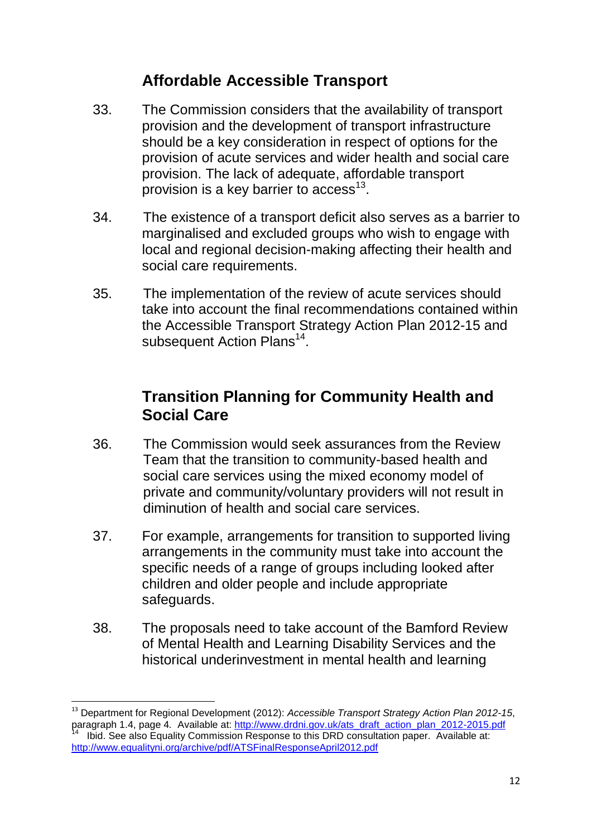### **Affordable Accessible Transport**

- 33. The Commission considers that the availability of transport provision and the development of transport infrastructure should be a key consideration in respect of options for the provision of acute services and wider health and social care provision. The lack of adequate, affordable transport provision is a key barrier to access<sup>13</sup>.
- 34. The existence of a transport deficit also serves as a barrier to marginalised and excluded groups who wish to engage with local and regional decision-making affecting their health and social care requirements.
- 35. The implementation of the review of acute services should take into account the final recommendations contained within the Accessible Transport Strategy Action Plan 2012-15 and subsequent Action Plans<sup>14</sup>.

### **Transition Planning for Community Health and Social Care**

- 36. The Commission would seek assurances from the Review Team that the transition to community-based health and social care services using the mixed economy model of private and community/voluntary providers will not result in diminution of health and social care services.
- 37. For example, arrangements for transition to supported living arrangements in the community must take into account the specific needs of a range of groups including looked after children and older people and include appropriate safeguards.
- 38. The proposals need to take account of the Bamford Review of Mental Health and Learning Disability Services and the historical underinvestment in mental health and learning

1

<sup>13</sup> Department for Regional Development (2012): *Accessible Transport Strategy Action Plan 2012-15*, paragraph 1.4, page 4. Available at: [http://www.drdni.gov.uk/ats\\_draft\\_action\\_plan\\_2012-2015.pdf](http://www.drdni.gov.uk/ats_draft_action_plan_2012-2015.pdf)

<sup>14</sup> Ibid. See also Equality Commission Response to this DRD consultation paper. Available at: <http://www.equalityni.org/archive/pdf/ATSFinalResponseApril2012.pdf>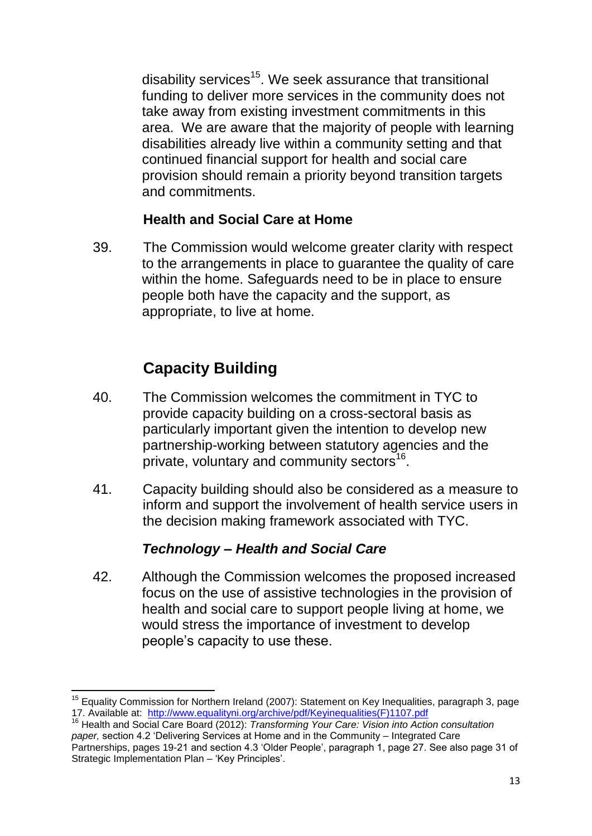disability services<sup>15</sup>. We seek assurance that transitional funding to deliver more services in the community does not take away from existing investment commitments in this area. We are aware that the majority of people with learning disabilities already live within a community setting and that continued financial support for health and social care provision should remain a priority beyond transition targets and commitments.

#### **Health and Social Care at Home**

39. The Commission would welcome greater clarity with respect to the arrangements in place to guarantee the quality of care within the home. Safeguards need to be in place to ensure people both have the capacity and the support, as appropriate, to live at home.

# **Capacity Building**

- 40. The Commission welcomes the commitment in TYC to provide capacity building on a cross-sectoral basis as particularly important given the intention to develop new partnership-working between statutory agencies and the private, voluntary and community sectors<sup>16</sup>.
- 41. Capacity building should also be considered as a measure to inform and support the involvement of health service users in the decision making framework associated with TYC.

### *Technology – Health and Social Care*

42. Although the Commission welcomes the proposed increased focus on the use of assistive technologies in the provision of health and social care to support people living at home, we would stress the importance of investment to develop people's capacity to use these.

 $\overline{\phantom{a}}$ <sup>15</sup> Equality Commission for Northern Ireland (2007): Statement on Key Inequalities, paragraph 3, page 17. Available at: [http://www.equalityni.org/archive/pdf/Keyinequalities\(F\)1107.pdf](http://www.equalityni.org/archive/pdf/Keyinequalities(F)1107.pdf)

<sup>16</sup> Health and Social Care Board (2012): *Transforming Your Care: Vision into Action consultation paper,* section 4.2 'Delivering Services at Home and in the Community – Integrated Care Partnerships, pages 19-21 and section 4.3 'Older People', paragraph 1, page 27. See also page 31 of Strategic Implementation Plan – 'Key Principles'.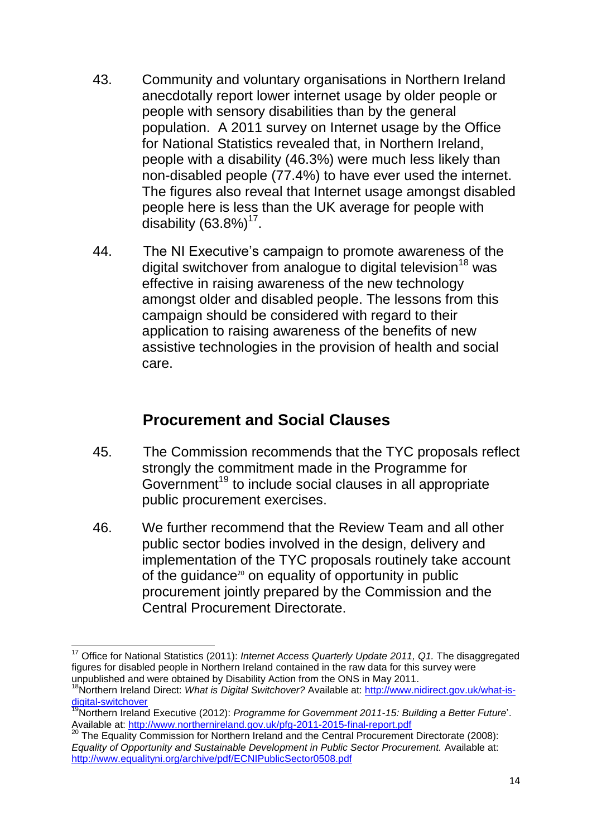- 43. Community and voluntary organisations in Northern Ireland anecdotally report lower internet usage by older people or people with sensory disabilities than by the general population. A 2011 survey on Internet usage by the Office for National Statistics revealed that, in Northern Ireland, people with a disability (46.3%) were much less likely than non-disabled people (77.4%) to have ever used the internet. The figures also reveal that Internet usage amongst disabled people here is less than the UK average for people with disability  $(63.8\%)^{17}$ .
- 44. The NI Executive's campaign to promote awareness of the digital switchover from analogue to digital television<sup>18</sup> was effective in raising awareness of the new technology amongst older and disabled people. The lessons from this campaign should be considered with regard to their application to raising awareness of the benefits of new assistive technologies in the provision of health and social care.

### **Procurement and Social Clauses**

- 45. The Commission recommends that the TYC proposals reflect strongly the commitment made in the Programme for Government<sup>19</sup> to include social clauses in all appropriate public procurement exercises.
- 46. We further recommend that the Review Team and all other public sector bodies involved in the design, delivery and implementation of the TYC proposals routinely take account of the quidance<sup>20</sup> on equality of opportunity in public procurement jointly prepared by the Commission and the Central Procurement Directorate.

 $\overline{\phantom{a}}$ <sup>17</sup> Office for National Statistics (2011): *Internet Access Quarterly Update 2011, Q1.* The disaggregated figures for disabled people in Northern Ireland contained in the raw data for this survey were unpublished and were obtained by Disability Action from the ONS in May 2011.

<sup>18</sup>Northern Ireland Direct: *What is Digital Switchover?* Available at: [http://www.nidirect.gov.uk/what-is](http://www.nidirect.gov.uk/what-is-digital-switchover)[digital-switchover](http://www.nidirect.gov.uk/what-is-digital-switchover)

<sup>19</sup>Northern Ireland Executive (2012): *Programme for Government 2011-15: Building a Better Future*'. Available at:<http://www.northernireland.gov.uk/pfg-2011-2015-final-report.pdf>

<sup>&</sup>lt;sup>20</sup> The Equality Commission for Northern Ireland and the Central Procurement Directorate (2008): *Equality of Opportunity and Sustainable Development in Public Sector Procurement.* Available at: <http://www.equalityni.org/archive/pdf/ECNIPublicSector0508.pdf>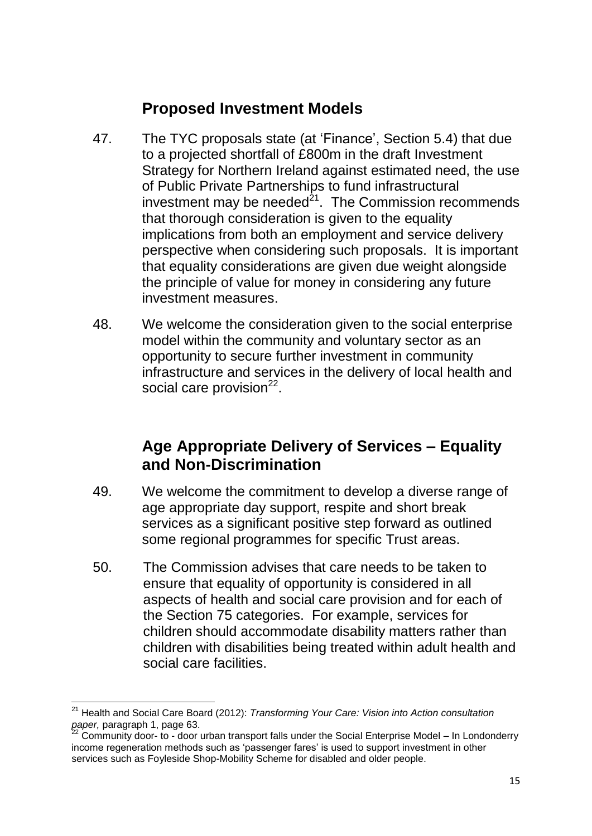# **Proposed Investment Models**

- 47. The TYC proposals state (at 'Finance', Section 5.4) that due to a projected shortfall of £800m in the draft Investment Strategy for Northern Ireland against estimated need, the use of Public Private Partnerships to fund infrastructural investment may be needed $21$ . The Commission recommends that thorough consideration is given to the equality implications from both an employment and service delivery perspective when considering such proposals. It is important that equality considerations are given due weight alongside the principle of value for money in considering any future investment measures.
- 48. We welcome the consideration given to the social enterprise model within the community and voluntary sector as an opportunity to secure further investment in community infrastructure and services in the delivery of local health and social care provision<sup>22</sup>.

### **Age Appropriate Delivery of Services – Equality and Non-Discrimination**

- 49. We welcome the commitment to develop a diverse range of age appropriate day support, respite and short break services as a significant positive step forward as outlined some regional programmes for specific Trust areas.
- 50. The Commission advises that care needs to be taken to ensure that equality of opportunity is considered in all aspects of health and social care provision and for each of the Section 75 categories. For example, services for children should accommodate disability matters rather than children with disabilities being treated within adult health and social care facilities.

**<sup>.</sup>** <sup>21</sup> Health and Social Care Board (2012): *Transforming Your Care: Vision into Action consultation paper,* paragraph 1, page 63.

 $^{22}$  Community door- to - door urban transport falls under the Social Enterprise Model – In Londonderry income regeneration methods such as 'passenger fares' is used to support investment in other services such as Foyleside Shop-Mobility Scheme for disabled and older people.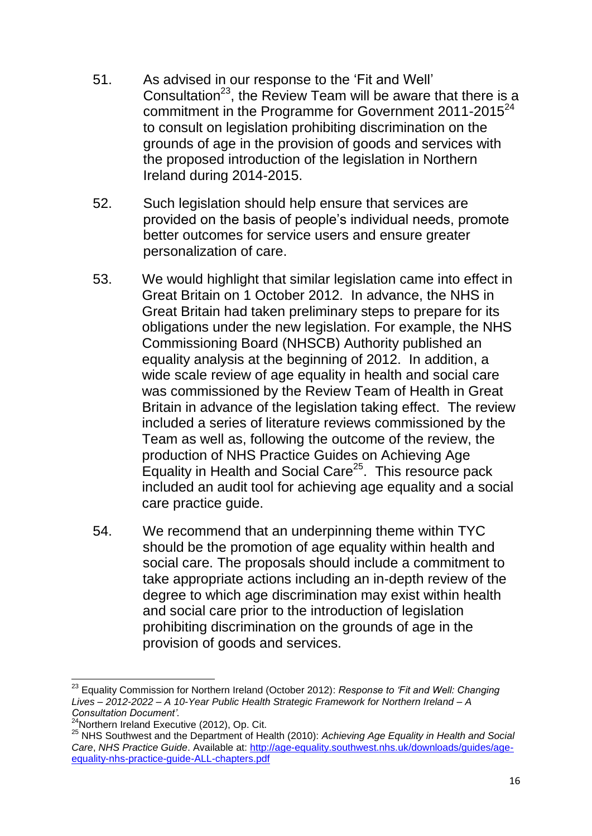- 51. As advised in our response to the 'Fit and Well' Consultation<sup>23</sup>, the Review Team will be aware that there is a commitment in the Programme for Government 2011-2015<sup>24</sup> to consult on legislation prohibiting discrimination on the grounds of age in the provision of goods and services with the proposed introduction of the legislation in Northern Ireland during 2014-2015.
- 52. Such legislation should help ensure that services are provided on the basis of people's individual needs, promote better outcomes for service users and ensure greater personalization of care.
- 53. We would highlight that similar legislation came into effect in Great Britain on 1 October 2012. In advance, the NHS in Great Britain had taken preliminary steps to prepare for its obligations under the new legislation. For example, the NHS Commissioning Board (NHSCB) Authority published an equality analysis at the beginning of 2012. In addition, a wide scale review of age equality in health and social care was commissioned by the Review Team of Health in Great Britain in advance of the legislation taking effect. The review included a series of literature reviews commissioned by the Team as well as, following the outcome of the review, the production of NHS Practice Guides on Achieving Age Equality in Health and Social Care<sup>25</sup>. This resource pack included an audit tool for achieving age equality and a social care practice guide.
- 54. We recommend that an underpinning theme within TYC should be the promotion of age equality within health and social care. The proposals should include a commitment to take appropriate actions including an in-depth review of the degree to which age discrimination may exist within health and social care prior to the introduction of legislation prohibiting discrimination on the grounds of age in the provision of goods and services.

 $\overline{\phantom{a}}$ <sup>23</sup> Equality Commission for Northern Ireland (October 2012): *Response to 'Fit and Well: Changing Lives – 2012-2022 – A 10-Year Public Health Strategic Framework for Northern Ireland – A Consultation Document'.*

 $24$ Northern Ireland Executive (2012), Op. Cit.

<sup>25</sup> NHS Southwest and the Department of Health (2010): *Achieving Age Equality in Health and Social Care*, *NHS Practice Guide*. Available at: [http://age-equality.southwest.nhs.uk/downloads/guides/age](http://age-equality.southwest.nhs.uk/downloads/guides/age-equality-nhs-practice-guide-ALL-chapters.pdf)[equality-nhs-practice-guide-ALL-chapters.pdf](http://age-equality.southwest.nhs.uk/downloads/guides/age-equality-nhs-practice-guide-ALL-chapters.pdf)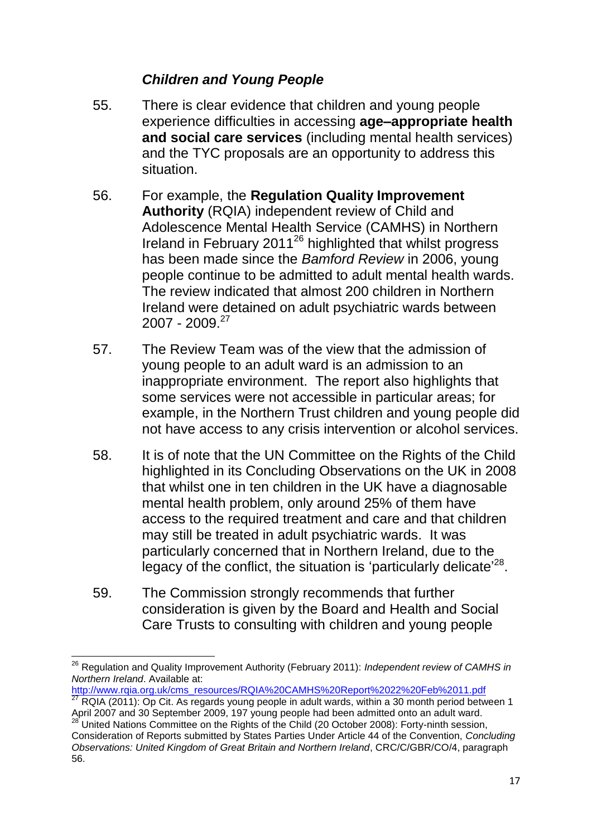#### *Children and Young People*

- 55. There is clear evidence that children and young people experience difficulties in accessing **age–appropriate health and social care services** (including mental health services) and the TYC proposals are an opportunity to address this situation.
- 56. For example, the **Regulation Quality Improvement Authority** (RQIA) independent review of Child and Adolescence Mental Health Service (CAMHS) in Northern Ireland in February 2011<sup>26</sup> highlighted that whilst progress has been made since the *Bamford Review* in 2006, young people continue to be admitted to adult mental health wards. The review indicated that almost 200 children in Northern Ireland were detained on adult psychiatric wards between  $2007 - 2009$ <sup>27</sup>
- 57. The Review Team was of the view that the admission of young people to an adult ward is an admission to an inappropriate environment. The report also highlights that some services were not accessible in particular areas; for example, in the Northern Trust children and young people did not have access to any crisis intervention or alcohol services.
- 58. It is of note that the UN Committee on the Rights of the Child highlighted in its Concluding Observations on the UK in 2008 that whilst one in ten children in the UK have a diagnosable mental health problem, only around 25% of them have access to the required treatment and care and that children may still be treated in adult psychiatric wards. It was particularly concerned that in Northern Ireland, due to the legacy of the conflict, the situation is 'particularly delicate'<sup>28</sup>.
- 59. The Commission strongly recommends that further consideration is given by the Board and Health and Social Care Trusts to consulting with children and young people

[http://www.rqia.org.uk/cms\\_resources/RQIA%20CAMHS%20Report%2022%20Feb%2011.pdf](http://www.rqia.org.uk/cms_resources/RQIA%20CAMHS%20Report%2022%20Feb%2011.pdf)

 $\overline{\phantom{a}}$ <sup>26</sup> Regulation and Quality Improvement Authority (February 2011): *Independent review of CAMHS in Northern Ireland*. Available at:

<sup>27</sup> RQIA (2011): Op Cit. As regards young people in adult wards, within a 30 month period between 1 April 2007 and 30 September 2009, 197 young people had been admitted onto an adult ward.

<sup>28</sup> United Nations Committee on the Rights of the Child (20 October 2008): Forty-ninth session, Consideration of Reports submitted by States Parties Under Article 44 of the Convention, *Concluding Observations: United Kingdom of Great Britain and Northern Ireland*, CRC/C/GBR/CO/4, paragraph 56.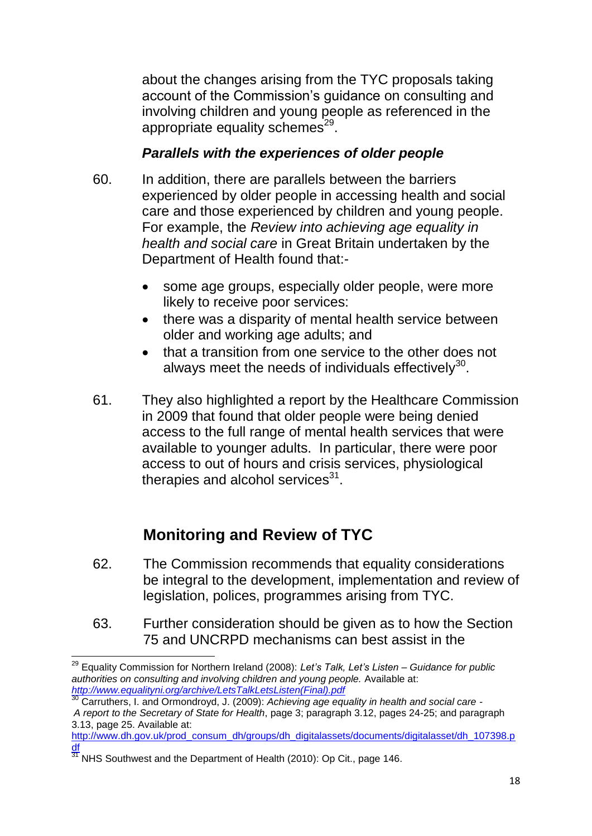about the changes arising from the TYC proposals taking account of the Commission's guidance on consulting and involving children and young people as referenced in the appropriate equality schemes<sup>29</sup>.

#### *Parallels with the experiences of older people*

- 60. In addition, there are parallels between the barriers experienced by older people in accessing health and social care and those experienced by children and young people. For example, the *Review into achieving age equality in health and social care* in Great Britain undertaken by the Department of Health found that:
	- some age groups, especially older people, were more likely to receive poor services:
	- there was a disparity of mental health service between older and working age adults; and
	- that a transition from one service to the other does not always meet the needs of individuals effectively $^{30}$ .
- 61. They also highlighted a report by the Healthcare Commission in 2009 that found that older people were being denied access to the full range of mental health services that were available to younger adults. In particular, there were poor access to out of hours and crisis services, physiological therapies and alcohol services $^{31}$ .

# **Monitoring and Review of TYC**

- 62. The Commission recommends that equality considerations be integral to the development, implementation and review of legislation, polices, programmes arising from TYC.
- 63. Further consideration should be given as to how the Section 75 and UNCRPD mechanisms can best assist in the

[http://www.dh.gov.uk/prod\\_consum\\_dh/groups/dh\\_digitalassets/documents/digitalasset/dh\\_107398.p](http://www.dh.gov.uk/prod_consum_dh/groups/dh_digitalassets/documents/digitalasset/dh_107398.pdf) [df](http://www.dh.gov.uk/prod_consum_dh/groups/dh_digitalassets/documents/digitalasset/dh_107398.pdf)

 $\overline{\phantom{a}}$ <sup>29</sup> Equality Commission for Northern Ireland (2008): *Let's Talk, Let's Listen – Guidance for public authorities on consulting and involving children and young people.* Available at: *[http://www.equalityni.org/archive/LetsTalkLetsListen\(Final\).pdf](http://www.equalityni.org/archive/LetsTalkLetsListen(Final).pdf)*

<sup>30</sup> Carruthers, I. and Ormondroyd, J. (2009): *Achieving age equality in health and social care - A report to the Secretary of State for Health*, page 3; paragraph 3.12, pages 24-25; and paragraph 3.13, page 25. Available at:

<sup>31</sup> NHS Southwest and the Department of Health (2010): Op Cit., page 146.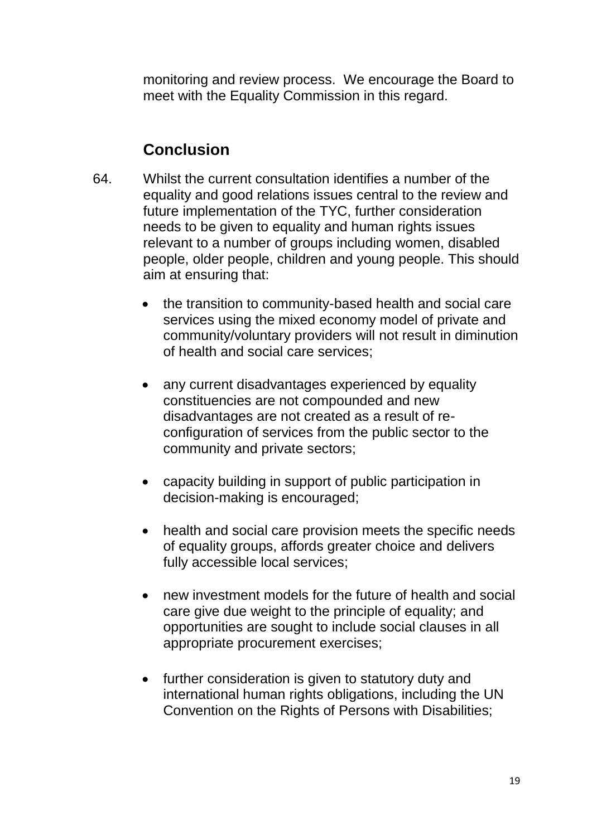monitoring and review process. We encourage the Board to meet with the Equality Commission in this regard.

### **Conclusion**

- 64. Whilst the current consultation identifies a number of the equality and good relations issues central to the review and future implementation of the TYC, further consideration needs to be given to equality and human rights issues relevant to a number of groups including women, disabled people, older people, children and young people. This should aim at ensuring that:
	- the transition to community-based health and social care services using the mixed economy model of private and community/voluntary providers will not result in diminution of health and social care services;
	- any current disadvantages experienced by equality constituencies are not compounded and new disadvantages are not created as a result of reconfiguration of services from the public sector to the community and private sectors;
	- capacity building in support of public participation in decision-making is encouraged;
	- health and social care provision meets the specific needs of equality groups, affords greater choice and delivers fully accessible local services;
	- new investment models for the future of health and social care give due weight to the principle of equality; and opportunities are sought to include social clauses in all appropriate procurement exercises;
	- further consideration is given to statutory duty and international human rights obligations, including the UN Convention on the Rights of Persons with Disabilities;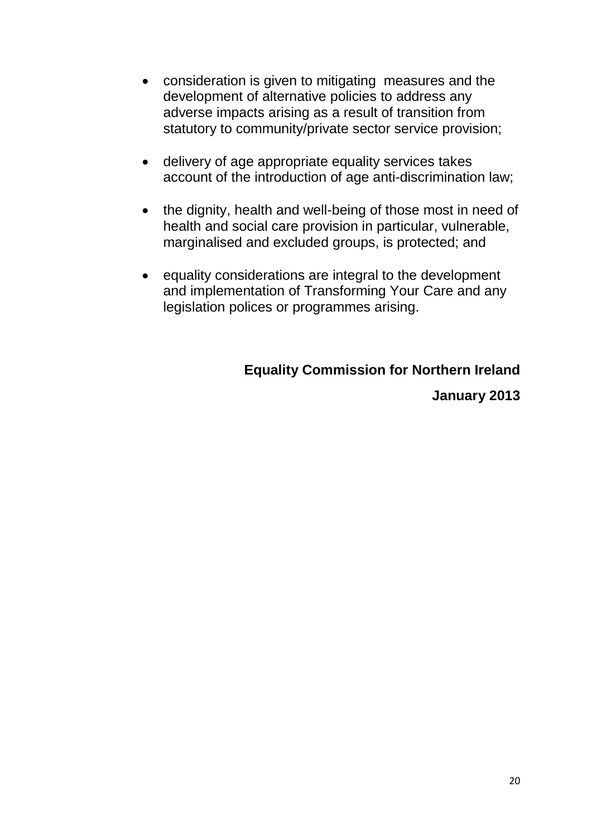- consideration is given to mitigating measures and the development of alternative policies to address any adverse impacts arising as a result of transition from statutory to community/private sector service provision;
- delivery of age appropriate equality services takes account of the introduction of age anti-discrimination law;
- the dignity, health and well-being of those most in need of health and social care provision in particular, vulnerable, marginalised and excluded groups, is protected; and
- equality considerations are integral to the development and implementation of Transforming Your Care and any legislation polices or programmes arising.

# **Equality Commission for Northern Ireland**

**January 2013**